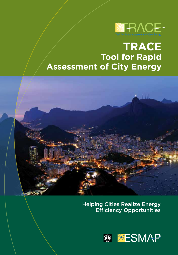

# **TRACE Tool for Rapid Assessment of City Energy**



Helping Cities Realize Energy Efficiency Opportunities

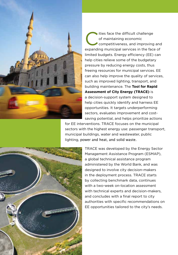

 $\bullet$  ities face the difficult challenge of maintaining economic competitiveness, and improving and expanding municipal services in the face of limited budgets. Energy efficiency (EE) can help cities relieve some of the budgetary pressure by reducing energy costs, thus freeing resources for municipal services. EE can also help improve the quality of services, such as improved lighting, transport, and building maintenance. The **Tool for Rapid Assessment of City Energy (TRACE)** is a decision-support system designed to help cities quickly identify and harness EE opportunities. It targets underperforming sectors, evaluates improvement and costsaving potential, and helps prioritize actions

for EE interventions. TRACE focuses on the municipal sectors with the highest energy use: passenger transport, municipal buildings, water and wastewater, public lighting, power and heat, and solid waste.



TRACE was developed by the Energy Sector Management Assistance Program (ESMAP), a global technical assistance program administered by the World Bank, and was designed to involve city decision-makers in the deployment process. TRACE starts by collecting benchmark data, continues with a two-week on-location assessment with technical experts and decision-makers, and concludes with a final report to city authorities with specific recommendations on EE opportunities tailored to the city's needs.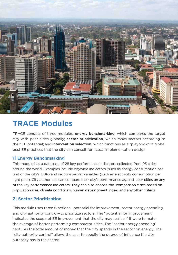

### **TRACE Modules**

TRACE consists of three modules: **energy benchmarking**, which compares the target city with peer cities globally; **sector prioritization**, which ranks sectors according to their EE potential; and **intervention selection,** which functions as a "playbook" of global best EE practices that the city can consult for actual implementation design.

#### **1| Energy Benchmarking**

This module has a database of 28 key performance indicators collected from 93 cities around the world. Examples include citywide indicators (such as energy consumption per unit of the city's GDP) and sector-specific variables (such as electricity consumption per light pole). City authorities can compare their city's performance against peer cities on any of the key performance indicators. They can also choose the comparison cities based on population size, climate conditions, human development index, and any other criteria.

#### **2| Sector Prioritization**

This module uses three functions—potential for improvement, sector energy spending, and city authority control—to prioritize sectors. The "potential for improvement" indicates the scope of EE improvement that the city may realize if it were to match the average of better-performing comparator cities. The "sector energy spending" captures the total amount of money that the city spends in the sector on energy. The "city authority control" allows the user to specify the degree of influence the city authority has in the sector.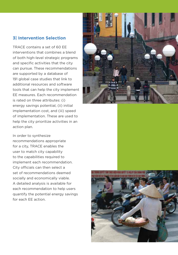#### **3| Intervention Selection**

TRACE contains a set of 60 EE interventions that combines a blend of both high-level strategic programs and specific activities that the city can pursue. These recommendations are supported by a database of 191 global case studies that link to additional resources and software tools that can help the city implement EE measures. Each recommendation is rated on three attributes: (i) energy savings potential, (ii) initial implementation cost, and (iii) speed of implementation. These are used to help the city prioritize activities in an action plan.

In order to synthesize recommendations appropriate for a city, TRACE enables the user to match city capability to the capabilities required to implement each recommendation. City officials can then select a set of recommendations deemed socially and economically viable. A detailed analysis is available for each recommendation to help users quantify the potential energy savings for each EE action.



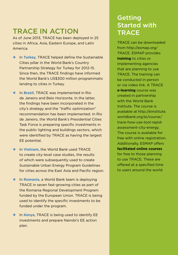### TRACE IN ACTION

As of June 2013, TRACE has been deployed in 25 cities in Africa, Asia, Eastern Europe, and Latin America.

- In **Turkey**, TRACE helped define the Sustainable Cities pillar in the World Bank's Country Partnership Strategy for Turkey for 2012-15. Since then, the TRACE findings have informed the World Bank's US\$300 million programmatic lending to cities in Turkey.
- **\*** In **Brazil**, TRACE was implemented in Rio de Janeiro and Belo Horizonte. In the latter, the findings have been incorporated in the city's strategy and the "traffic optimization" recommendation has been implemented. In Rio de Janeiro, the World Bank's Presidential Cities Task Force is preparing specific investments in the public lighting and buildings sectors, which were identified by TRACE as having the largest EE potential.
- In **Vietnam**, the World Bank used TRACE to create city-level case studies, the results of which were subsequently used to create Sustainable Urban Energy Program Guidelines for cities across the East Asia and Pacific region.
- **\*** In **Romania**, a World Bank team is deploying TRACE in seven fast-growing cities as part of the Romania Regional Development Program funded by the European Union. TRACE is being used to identify the specific investments to be funded under the program.
- In **Kenya**, TRACE is being used to identify EE investments and prepare Nairobi's EE action plan.

### Getting Started with **TRACE**

TRACE can be downloaded from [http://esmap.org/](http://esmap.org/TRACE) [TRACE](http://esmap.org/TRACE). ESMAP provides **training** to cities or implementing agencies that are planning to use TRACE. The training can be conducted in person or via video link. A TRACE **e-learning** course was created in partnership with the World Bank Institute. The course is available at [http://einstitute.](http://einstitute.worldbank.org/ei/course/trace-how-use-tool-rapid-assessment-city-energy) [worldbank.org/ei/course/](http://einstitute.worldbank.org/ei/course/trace-how-use-tool-rapid-assessment-city-energy) [trace-how-use-tool-rapid](http://einstitute.worldbank.org/ei/course/trace-how-use-tool-rapid-assessment-city-energy)[assessment-city-energy.](http://einstitute.worldbank.org/ei/course/trace-how-use-tool-rapid-assessment-city-energy) The course is available for free with online registration. Additionally, ESMAP offers **facilitated online courses** for free to those planning to use TRACE. These are offered at a specified time to users around the world.